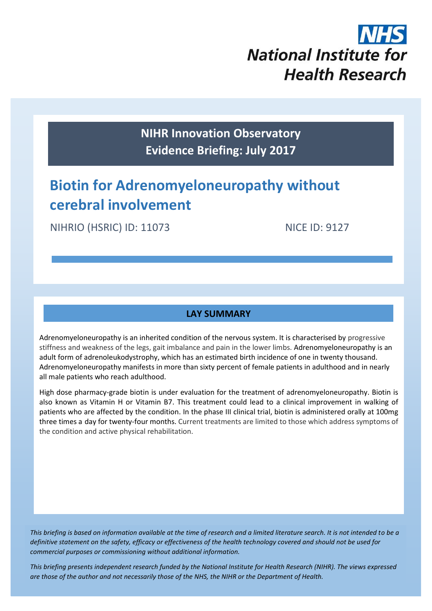

**NIHR Innovation Observatory Evidence Briefing: July 2017**

# **Biotin for Adrenomyeloneuropathy without cerebral involvement**

NIHRIO (HSRIC) ID: 11073 NICE ID: 9127

## **LAY SUMMARY**

Adrenomyeloneuropathy is an inherited condition of the nervous system. It is characterised by progressive stiffness and weakness of the legs, gait imbalance and pain in the lower limbs. Adrenomyeloneuropathy is an adult form o[f adrenoleukodystrophy,](http://www.sciencedirect.com/topics/page/Adrenoleukodystrophy) which has an estimated birth incidence of one in twenty thousand. Adrenomyeloneuropathy manifests in more than sixty percent of female patients in adulthood and in nearly all male patients who reach adulthood.

High dose pharmacy-grade biotin is under evaluation for the treatment of adrenomyeloneuropathy. Biotin is also known as Vitamin H or Vitamin B7. This treatment could lead to a clinical improvement in walking of patients who are affected by the condition. In the phase III clinical trial, biotin is administered orally at 100mg three times a day for twenty-four months. Current treatments are limited to those which address symptoms of the condition and active physical rehabilitation.

*This briefing is based on information available at the time of research and a limited literature search. It is not intended to be a definitive statement on the safety, efficacy or effectiveness of the health technology covered and should not be used for commercial purposes or commissioning without additional information.*

1 *This briefing presents independent research funded by the National Institute for Health Research (NIHR). The views expressed are those of the author and not necessarily those of the NHS, the NIHR or the Department of Health.*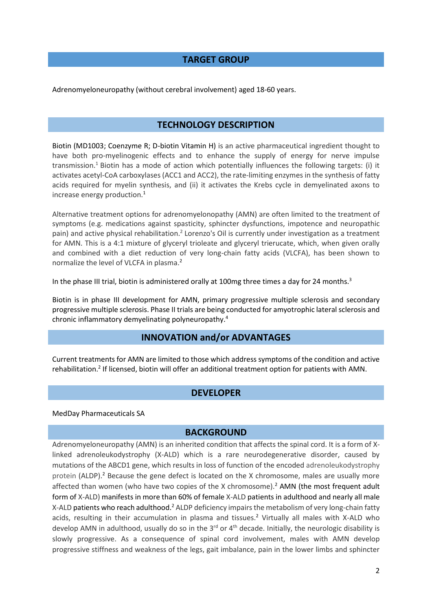#### **TARGET GROUP**

Adrenomyeloneuropathy (without cerebral involvement) aged 18-60 years.

#### **TECHNOLOGY DESCRIPTION**

<span id="page-1-0"></span>Biotin (MD1003; Coenzyme R; D-biotin Vitamin H) is an active pharmaceutical ingredient thought to have both pro-myelinogenic effects and to enhance the supply of energy for nerve impulse transmission.<sup>1</sup> Biotin has a mode of action which potentially influences the following targets: (i) it activates acetyl-CoA carboxylases (ACC1 and ACC2), the rate-limiting enzymes in the synthesis of fatty acids required for myelin synthesis, and (ii) it activates the Krebs cycle in demyelinated axons to increase energy production.[1](#page-1-0)

Alternative treatment options for adrenomyelonopathy (AMN) are often limited to the treatment of symptoms (e.g. medications against spasticity, sphincter dysfunctions, impotence and neuropathic pain) and active physical rehabilitation.<sup>2</sup> Lorenzo's Oil is currently under investigation as a treatment for AMN. This is a 4:1 mixture of glyceryl trioleate and glyceryl trierucate, which, when given orally and combined with a diet reduction of very long-chain fatty acids (VLCFA), has been shown to normalize the level of VLCFA in plasma[.](#page-1-1)<sup>2</sup>

In the phase III trial, biotin is administered orally at 100mg three times a day for 24 months.<sup>3</sup>

Biotin is in phase III development for AMN, primary progressive multiple sclerosis and secondary progressive multiple sclerosis. Phase II trials are being conducted for [amyotrophic lateral sclerosis](https://pharma.globaldata.com/DiseaseDetails.aspx?IndicationIDS=8452&IndicationNames=Amyotrophic%20Lateral%20Sclerosis) and chronic inflammatory demyelinating polyneuropathy.<sup>4</sup>

## <span id="page-1-1"></span>**INNOVATION and/or ADVANTAGES**

Current treatments for AMN are limited to those which address symptoms of the condition and active rehabilitation[.](#page-1-1)<sup>2</sup> If licensed, biotin will offer an additional treatment option for patients with AMN.

#### <span id="page-1-2"></span>**DEVELOPER**

#### MedDay Pharmaceuticals SA

#### **BACKGROUND**

Adrenomyeloneuropathy (AMN) is an inherited condition that affects the spinal cord. It is a form of Xlinked adrenoleukodystrophy (X-ALD) which is a rare neurodegenerative disorder, caused by mutations of the ABCD1 gene, which results in loss of function of the encoded adrenoleukodystrophy protein (ALDP)[.](#page-1-1)<sup>2</sup> Because the gene defect is located on the X chromosome, males are usually more affected than women (who have two copies of the X chromosome)[.](#page-1-1)<sup>2</sup> AMN (the most frequent adult form of X-ALD) manifests in more than 60% of female X-ALD patients in adulthood and nearly all male X-ALD patients who reach adulthood[.](#page-1-1)<sup>2</sup> ALDP deficiency impairs the metabolism of very long-chain fatty acids, resulting in their accumulation in plasma and tissues[.](#page-1-1)<sup>2</sup> Virtually all males with X-ALD who develop AMN in adulthood, usually do so in the 3<sup>rd</sup> or 4<sup>th</sup> decade. Initially, the neurologic disability is slowly progressive. As a consequence of spinal cord involvement, males with AMN develop progressive stiffness and weakness of the legs, gait imbalance, pain in the lower limbs and sphincter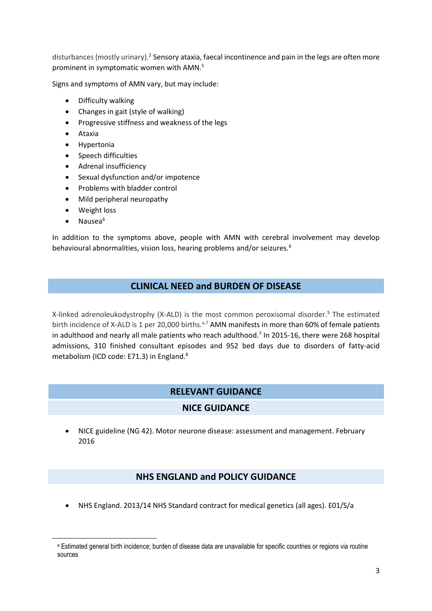disturbances (mostly urinary).<sup>[2](#page-1-1)</sup> Sensory ataxia, faecal incontinence and pain in the legs are often more prominent in symptomatic women with AMN.<sup>5</sup>

Signs and symptoms of AMN vary, but may include:

- <span id="page-2-1"></span>• Difficulty walking
- Changes in gait (style of walking)
- Progressive stiffness and weakness of the legs
- Ataxia
- **•** Hypertonia
- Speech difficulties
- Adrenal insufficiency
- Sexual dysfunction and/or impotence
- Problems with bladder control
- Mild peripheral neuropathy
- Weight loss
- <span id="page-2-0"></span> $\bullet$  Nausea<sup>6</sup>

1

In addition to the symptoms above, people with AMN with cerebral involvement may develop behavioural abnormalities, vision loss, hearing problems and/or seizures.[6](#page-2-0)

## **CLINICAL NEED and BURDEN OF DISEASE**

X-linked adrenoleukodystrophy (X-ALD) is the most common peroxisomal disorder.[5](#page-2-1) The estimated birth incidence of X-ALD is 1 per 20,000 births.<sup>a,7</sup> AMN manifests in more than 60% of female patients in adulthood and nearly all male patients who reach adulthood.<sup>[7](#page-2-2)</sup> In 2015-16, there were 268 hospital admissions, 310 finished consultant episodes and 952 bed days due to disorders of fatty-acid metabolism (ICD code: E71.3) in England.<sup>8</sup>

## <span id="page-2-2"></span>**RELEVANT GUIDANCE**

#### **NICE GUIDANCE**

 NICE guideline (NG 42). Motor neurone disease: assessment and management. February 2016

#### **NHS ENGLAND and POLICY GUIDANCE**

NHS England. 2013/14 NHS Standard contract for medical genetics (all ages). E01/S/a

<sup>a</sup> Estimated general birth incidence; burden of disease data are unavailable for specific countries or regions via routine sources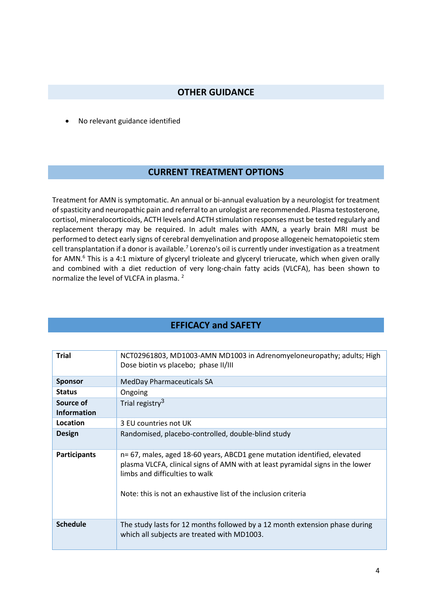#### **OTHER GUIDANCE**

No relevant guidance identified

#### **CURRENT TREATMENT OPTIONS**

Treatment for AMN is symptomatic. An annual or bi-annual evaluation by a neurologist for treatment of spasticity and neuropathic pain and referral to an urologist are recommended. Plasma testosterone, cortisol, mineralocorticoids, ACTH levels and ACTH stimulation responses must be tested regularly and replacement therapy may be required. In adult males with AMN, a yearly brain MRI must be performed to detect early signs of cerebral demyelination and propose allogeneic hematopoietic stem cell transplantation if a donor is available.<sup>[7](#page-2-2)</sup> Lorenzo's oil is currently under investigation as a treatment for AMN.<sup>[6](#page-2-0)</sup> This is a 4:1 mixture of glyceryl trioleate and glyceryl trierucate, which when given orally and combined with a diet reduction of very long-chain fatty acids (VLCFA), has been shown to normalize the level of VLCFA in plasma. [2](#page-1-1)

## **EFFICACY and SAFETY**

| <b>Trial</b>        | NCT02961803, MD1003-AMN MD1003 in Adrenomyeloneuropathy; adults; High<br>Dose biotin vs placebo; phase II/III                                                                                                                                                  |
|---------------------|----------------------------------------------------------------------------------------------------------------------------------------------------------------------------------------------------------------------------------------------------------------|
| <b>Sponsor</b>      | <b>MedDay Pharmaceuticals SA</b>                                                                                                                                                                                                                               |
| <b>Status</b>       | Ongoing                                                                                                                                                                                                                                                        |
| Source of           | Trial registry <sup>3</sup>                                                                                                                                                                                                                                    |
| <b>Information</b>  |                                                                                                                                                                                                                                                                |
| Location            | 3 EU countries not UK                                                                                                                                                                                                                                          |
| <b>Design</b>       | Randomised, placebo-controlled, double-blind study                                                                                                                                                                                                             |
| <b>Participants</b> | n= 67, males, aged 18-60 years, ABCD1 gene mutation identified, elevated<br>plasma VLCFA, clinical signs of AMN with at least pyramidal signs in the lower<br>limbs and difficulties to walk<br>Note: this is not an exhaustive list of the inclusion criteria |
| <b>Schedule</b>     | The study lasts for 12 months followed by a 12 month extension phase during<br>which all subjects are treated with MD1003.                                                                                                                                     |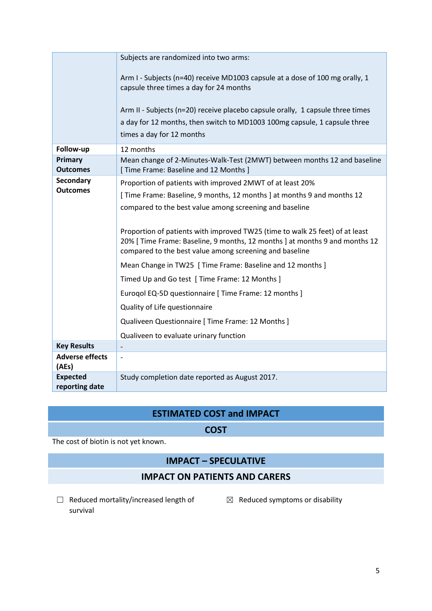|                                   | Subjects are randomized into two arms:                                                                                                                                                                                 |
|-----------------------------------|------------------------------------------------------------------------------------------------------------------------------------------------------------------------------------------------------------------------|
|                                   | Arm I - Subjects (n=40) receive MD1003 capsule at a dose of 100 mg orally, 1<br>capsule three times a day for 24 months                                                                                                |
|                                   | Arm II - Subjects (n=20) receive placebo capsule orally, 1 capsule three times<br>a day for 12 months, then switch to MD1003 100mg capsule, 1 capsule three<br>times a day for 12 months                               |
| Follow-up                         | 12 months                                                                                                                                                                                                              |
| Primary<br><b>Outcomes</b>        | Mean change of 2-Minutes-Walk-Test (2MWT) between months 12 and baseline<br>[ Time Frame: Baseline and 12 Months ]                                                                                                     |
| Secondary<br><b>Outcomes</b>      | Proportion of patients with improved 2MWT of at least 20%                                                                                                                                                              |
|                                   | [Time Frame: Baseline, 9 months, 12 months ] at months 9 and months 12                                                                                                                                                 |
|                                   | compared to the best value among screening and baseline                                                                                                                                                                |
|                                   | Proportion of patients with improved TW25 (time to walk 25 feet) of at least<br>20% [ Time Frame: Baseline, 9 months, 12 months ] at months 9 and months 12<br>compared to the best value among screening and baseline |
|                                   | Mean Change in TW25 [ Time Frame: Baseline and 12 months ]                                                                                                                                                             |
|                                   | Timed Up and Go test [ Time Frame: 12 Months ]                                                                                                                                                                         |
|                                   | Eurogol EQ-5D questionnaire [ Time Frame: 12 months ]                                                                                                                                                                  |
|                                   | Quality of Life questionnaire                                                                                                                                                                                          |
|                                   | Qualiveen Questionnaire [ Time Frame: 12 Months ]                                                                                                                                                                      |
|                                   | Qualiveen to evaluate urinary function                                                                                                                                                                                 |
| <b>Key Results</b>                |                                                                                                                                                                                                                        |
| <b>Adverse effects</b><br>(AEs)   | $\overline{\phantom{0}}$                                                                                                                                                                                               |
| <b>Expected</b><br>reporting date | Study completion date reported as August 2017.                                                                                                                                                                         |

# **ESTIMATED COST and IMPACT**

#### **COST**

The cost of biotin is not yet known.

## **IMPACT – SPECULATIVE**

# **IMPACT ON PATIENTS AND CARERS**

☐ Reduced mortality/increased length of survival

 $\boxtimes$  Reduced symptoms or disability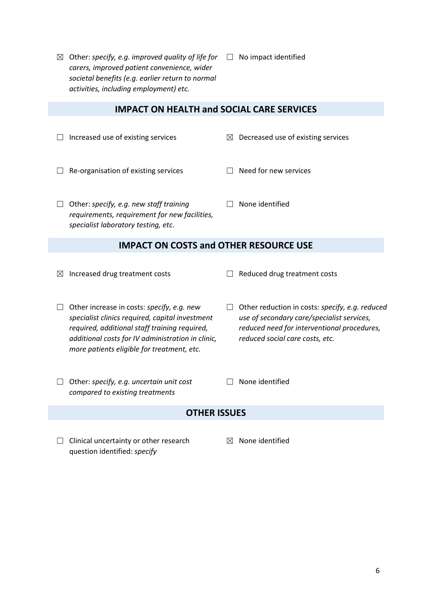$\boxtimes$  Other: *specify, e.g. improved quality of life for*  $\Box$  No impact identified *carers, improved patient convenience, wider societal benefits (e.g. earlier return to normal activities, including employment) etc.*

#### **IMPACT ON HEALTH and SOCIAL CARE SERVICES**

- ☐ Increased use of existing services ☒ Decreased use of existing services
- ☐ Re-organisation of existing services ☐ Need for new services
- ☐ Other: *specify, e.g. new staff training requirements, requirement for new facilities, specialist laboratory testing, etc.*

#### **IMPACT ON COSTS and OTHER RESOURCE USE**

- ☒ Increased drug treatment costs ☐ Reduced drug treatment costs
- 
- ☐ Other increase in costs: *specify, e.g. new specialist clinics required, capital investment required, additional staff training required, additional costs for IV administration in clinic, more patients eligible for treatment, etc.*
- ☐ Other: *specify, e.g. uncertain unit cost*
- ☐ Other reduction in costs: *specify, e.g. reduced use of secondary care/specialist services, reduced need for interventional procedures, reduced social care costs, etc.*
- $\Box$  None identified

☐ None identified

#### **OTHER ISSUES**

 $\Box$  Clinical uncertainty or other research question identified: *specify*

*compared to existing treatments*

☒ None identified